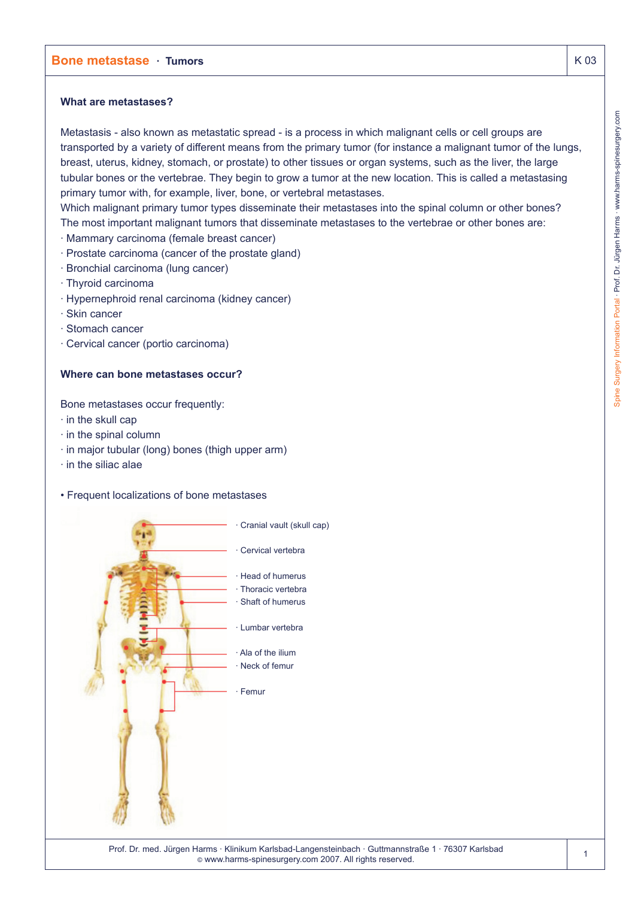## **What are metastases?**

Metastasis - also known as metastatic spread - is a process in which malignant cells or cell groups are transported by a variety of different means from the primary tumor (for instance a malignant tumor of the lungs, breast, uterus, kidney, stomach, or prostate) to other tissues or organ systems, such as the liver, the large tubular bones or the vertebrae. They begin to grow a tumor at the new location. This is called a metastasing primary tumor with, for example, liver, bone, or vertebral metastases.

Which malignant primary tumor types disseminate their metastases into the spinal column or other bones? The most important malignant tumors that disseminate metastases to the vertebrae or other bones are:

- · Mammary carcinoma (female breast cancer)
- · Prostate carcinoma (cancer of the prostate gland)
- · Bronchial carcinoma (lung cancer)
- · Thyroid carcinoma
- · Hypernephroid renal carcinoma (kidney cancer)
- · Skin cancer
- · Stomach cancer
- · Cervical cancer (portio carcinoma)

## **Where can bone metastases occur?**

Bone metastases occur frequently:

- · in the skull cap
- · in the spinal column
- · in major tubular (long) bones (thigh upper arm)
- · in the siliac alae
- Frequent localizations of bone metastases



© www.harms-spinesurgery.com 2007. All rights reserved.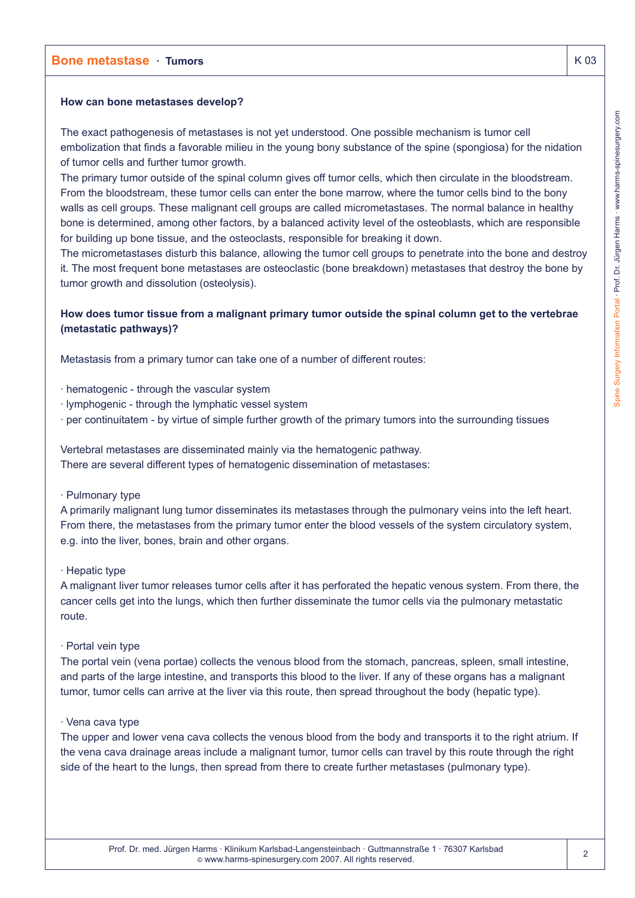## **How can bone metastases develop?**

The exact pathogenesis of metastases is not yet understood. One possible mechanism is tumor cell embolization that finds a favorable milieu in the young bony substance of the spine (spongiosa) for the nidation of tumor cells and further tumor growth.

The primary tumor outside of the spinal column gives off tumor cells, which then circulate in the bloodstream. From the bloodstream, these tumor cells can enter the bone marrow, where the tumor cells bind to the bony walls as cell groups. These malignant cell groups are called micrometastases. The normal balance in healthy bone is determined, among other factors, by a balanced activity level of the osteoblasts, which are responsible for building up bone tissue, and the osteoclasts, responsible for breaking it down.

The micrometastases disturb this balance, allowing the tumor cell groups to penetrate into the bone and destroy it. The most frequent bone metastases are osteoclastic (bone breakdown) metastases that destroy the bone by tumor growth and dissolution (osteolysis).

# **How does tumor tissue from a malignant primary tumor outside the spinal column get to the vertebrae (metastatic pathways)?**

Metastasis from a primary tumor can take one of a number of different routes:

- · hematogenic through the vascular system
- · lymphogenic through the lymphatic vessel system
- · per continuitatem by virtue of simple further growth of the primary tumors into the surrounding tissues

Vertebral metastases are disseminated mainly via the hematogenic pathway. There are several different types of hematogenic dissemination of metastases:

· Pulmonary type

A primarily malignant lung tumor disseminates its metastases through the pulmonary veins into the left heart. From there, the metastases from the primary tumor enter the blood vessels of the system circulatory system, e.g. into the liver, bones, brain and other organs.

#### · Hepatic type

A malignant liver tumor releases tumor cells after it has perforated the hepatic venous system. From there, the cancer cells get into the lungs, which then further disseminate the tumor cells via the pulmonary metastatic route.

· Portal vein type

The portal vein (vena portae) collects the venous blood from the stomach, pancreas, spleen, small intestine, and parts of the large intestine, and transports this blood to the liver. If any of these organs has a malignant tumor, tumor cells can arrive at the liver via this route, then spread throughout the body (hepatic type).

### · Vena cava type

The upper and lower vena cava collects the venous blood from the body and transports it to the right atrium. If the vena cava drainage areas include a malignant tumor, tumor cells can travel by this route through the right side of the heart to the lungs, then spread from there to create further metastases (pulmonary type).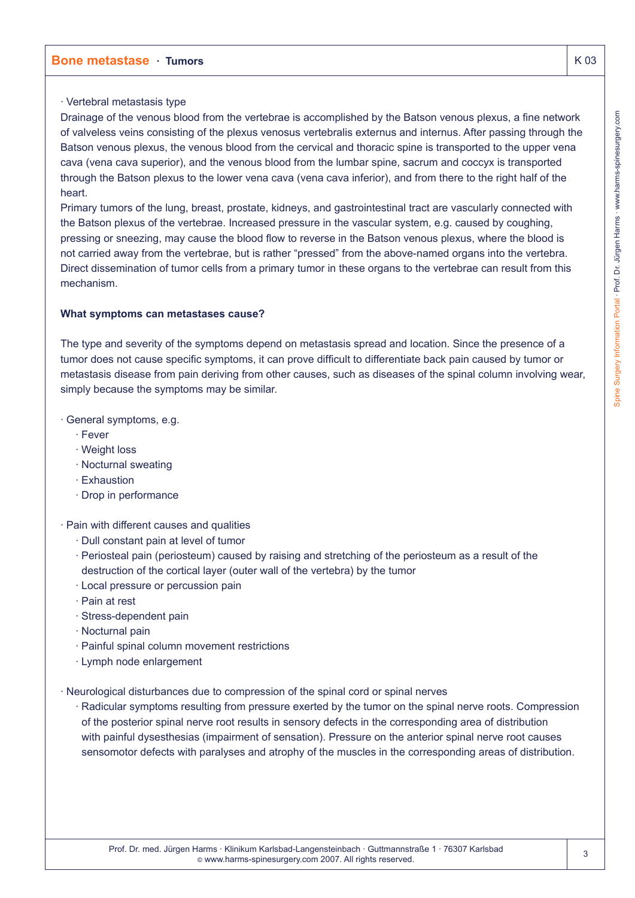## · Vertebral metastasis type

Drainage of the venous blood from the vertebrae is accomplished by the Batson venous plexus, a fine network of valveless veins consisting of the plexus venosus vertebralis externus and internus. After passing through the Batson venous plexus, the venous blood from the cervical and thoracic spine is transported to the upper vena cava (vena cava superior), and the venous blood from the lumbar spine, sacrum and coccyx is transported through the Batson plexus to the lower vena cava (vena cava inferior), and from there to the right half of the heart.

Primary tumors of the lung, breast, prostate, kidneys, and gastrointestinal tract are vascularly connected with the Batson plexus of the vertebrae. Increased pressure in the vascular system, e.g. caused by coughing, pressing or sneezing, may cause the blood flow to reverse in the Batson venous plexus, where the blood is not carried away from the vertebrae, but is rather "pressed" from the above-named organs into the vertebra. Direct dissemination of tumor cells from a primary tumor in these organs to the vertebrae can result from this mechanism.

## **What symptoms can metastases cause?**

The type and severity of the symptoms depend on metastasis spread and location. Since the presence of a tumor does not cause specific symptoms, it can prove difficult to differentiate back pain caused by tumor or metastasis disease from pain deriving from other causes, such as diseases of the spinal column involving wear, simply because the symptoms may be similar.

## · General symptoms, e.g.

- · Fever
- · Weight loss
- · Nocturnal sweating
- · Exhaustion
- · Drop in performance
- · Pain with different causes and qualities
	- · Dull constant pain at level of tumor
	- · Periosteal pain (periosteum) caused by raising and stretching of the periosteum as a result of the destruction of the cortical layer (outer wall of the vertebra) by the tumor
	- · Local pressure or percussion pain
	- · Pain at rest
	- · Stress-dependent pain
	- · Nocturnal pain
	- · Painful spinal column movement restrictions
	- · Lymph node enlargement
- · Neurological disturbances due to compression of the spinal cord or spinal nerves
	- · Radicular symptoms resulting from pressure exerted by the tumor on the spinal nerve roots. Compression of the posterior spinal nerve root results in sensory defects in the corresponding area of distribution with painful dysesthesias (impairment of sensation). Pressure on the anterior spinal nerve root causes sensomotor defects with paralyses and atrophy of the muscles in the corresponding areas of distribution.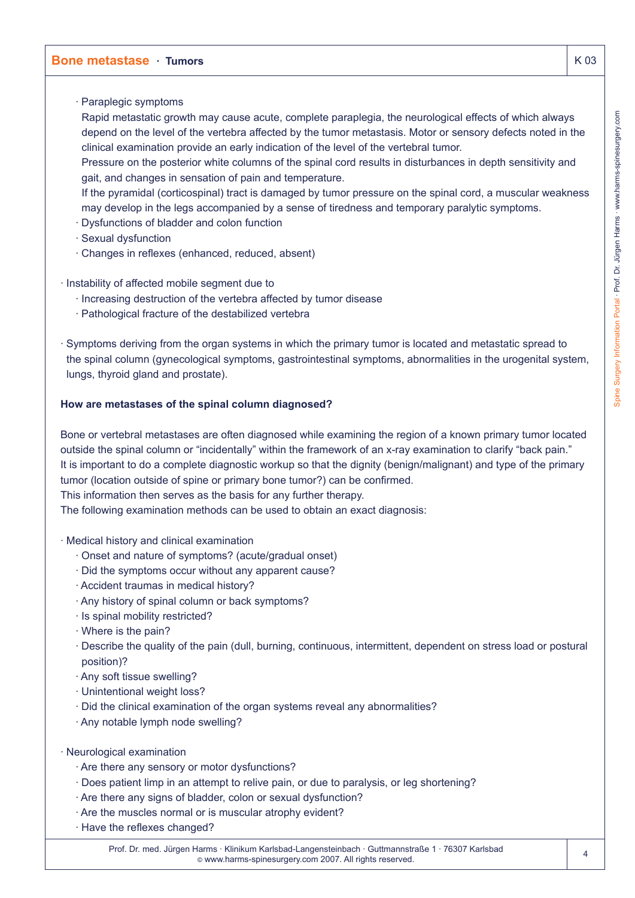· Paraplegic symptoms

Rapid metastatic growth may cause acute, complete paraplegia, the neurological effects of which always depend on the level of the vertebra affected by the tumor metastasis. Motor or sensory defects noted in the clinical examination provide an early indication of the level of the vertebral tumor.

Pressure on the posterior white columns of the spinal cord results in disturbances in depth sensitivity and gait, and changes in sensation of pain and temperature.

If the pyramidal (corticospinal) tract is damaged by tumor pressure on the spinal cord, a muscular weakness may develop in the legs accompanied by a sense of tiredness and temporary paralytic symptoms.

- · Dysfunctions of bladder and colon function
- · Sexual dysfunction
- · Changes in reflexes (enhanced, reduced, absent)
- · Instability of affected mobile segment due to
	- · Increasing destruction of the vertebra affected by tumor disease
	- · Pathological fracture of the destabilized vertebra
- · Symptoms deriving from the organ systems in which the primary tumor is located and metastatic spread to the spinal column (gynecological symptoms, gastrointestinal symptoms, abnormalities in the urogenital system, lungs, thyroid gland and prostate).

### **How are metastases of the spinal column diagnosed?**

Bone or vertebral metastases are often diagnosed while examining the region of a known primary tumor located outside the spinal column or "incidentally" within the framework of an x-ray examination to clarify "back pain." It is important to do a complete diagnostic workup so that the dignity (benign/malignant) and type of the primary tumor (location outside of spine or primary bone tumor?) can be confirmed.

This information then serves as the basis for any further therapy.

The following examination methods can be used to obtain an exact diagnosis:

- · Medical history and clinical examination
	- · Onset and nature of symptoms? (acute/gradual onset)
	- · Did the symptoms occur without any apparent cause?
	- · Accident traumas in medical history?
	- · Any history of spinal column or back symptoms?
	- · Is spinal mobility restricted?
	- · Where is the pain?
	- · Describe the quality of the pain (dull, burning, continuous, intermittent, dependent on stress load or postural position)?
	- · Any soft tissue swelling?
	- · Unintentional weight loss?
	- · Did the clinical examination of the organ systems reveal any abnormalities?
	- · Any notable lymph node swelling?
- · Neurological examination
	- · Are there any sensory or motor dysfunctions?
	- · Does patient limp in an attempt to relive pain, or due to paralysis, or leg shortening?
	- · Are there any signs of bladder, colon or sexual dysfunction?
	- · Are the muscles normal or is muscular atrophy evident?
	- · Have the reflexes changed?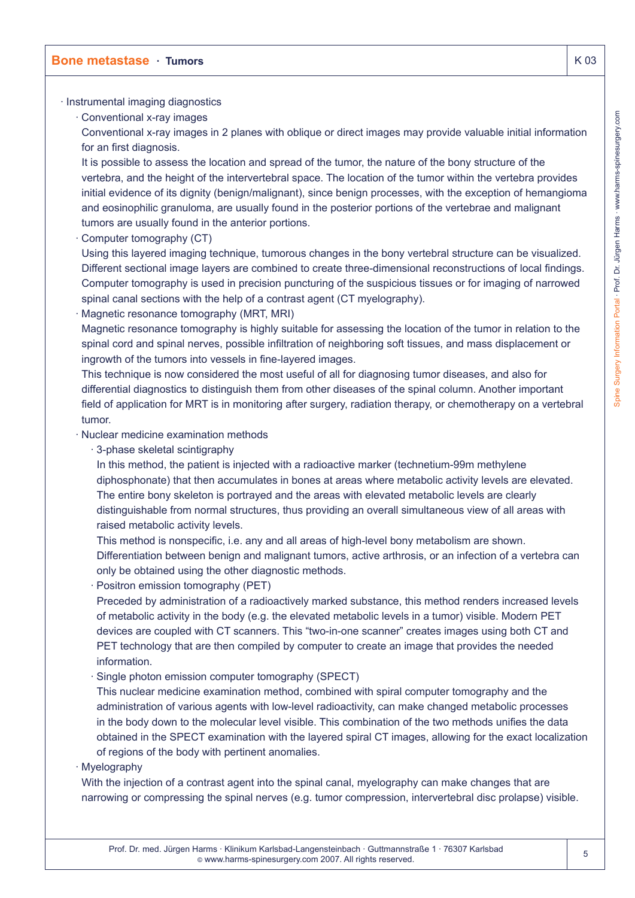### · Instrumental imaging diagnostics

· Conventional x-ray images

Conventional x-ray images in 2 planes with oblique or direct images may provide valuable initial information for an first diagnosis.

It is possible to assess the location and spread of the tumor, the nature of the bony structure of the vertebra, and the height of the intervertebral space. The location of the tumor within the vertebra provides initial evidence of its dignity (benign/malignant), since benign processes, with the exception of hemangioma and eosinophilic granuloma, are usually found in the posterior portions of the vertebrae and malignant tumors are usually found in the anterior portions.

Computer tomography (CT)

Using this layered imaging technique, tumorous changes in the bony vertebral structure can be visualized. Different sectional image layers are combined to create three-dimensional reconstructions of local findings. Computer tomography is used in precision puncturing of the suspicious tissues or for imaging of narrowed spinal canal sections with the help of a contrast agent (CT myelography).

Magnetic resonance tomography (MRT, MRI)

Magnetic resonance tomography is highly suitable for assessing the location of the tumor in relation to the spinal cord and spinal nerves, possible infiltration of neighboring soft tissues, and mass displacement or ingrowth of the tumors into vessels in fine-layered images.

This technique is now considered the most useful of all for diagnosing tumor diseases, and also for differential diagnostics to distinguish them from other diseases of the spinal column. Another important field of application for MRT is in monitoring after surgery, radiation therapy, or chemotherapy on a vertebral tumor.

- · Nuclear medicine examination methods
	- · 3-phase skeletal scintigraphy

In this method, the patient is injected with a radioactive marker (technetium-99m methylene diphosphonate) that then accumulates in bones at areas where metabolic activity levels are elevated. The entire bony skeleton is portrayed and the areas with elevated metabolic levels are clearly distinguishable from normal structures, thus providing an overall simultaneous view of all areas with raised metabolic activity levels.

This method is nonspecific, i.e. any and all areas of high-level bony metabolism are shown. Differentiation between benign and malignant tumors, active arthrosis, or an infection of a vertebra can only be obtained using the other diagnostic methods.

· Positron emission tomography (PET)

Preceded by administration of a radioactively marked substance, this method renders increased levels of metabolic activity in the body (e.g. the elevated metabolic levels in a tumor) visible. Modern PET devices are coupled with CT scanners. This "two-in-one scanner" creates images using both CT and PET technology that are then compiled by computer to create an image that provides the needed information.

· Single photon emission computer tomography (SPECT)

This nuclear medicine examination method, combined with spiral computer tomography and the administration of various agents with low-level radioactivity, can make changed metabolic processes in the body down to the molecular level visible. This combination of the two methods unifies the data obtained in the SPECT examination with the layered spiral CT images, allowing for the exact localization of regions of the body with pertinent anomalies.

· Myelography

With the injection of a contrast agent into the spinal canal, myelography can make changes that are narrowing or compressing the spinal nerves (e.g. tumor compression, intervertebral disc prolapse) visible.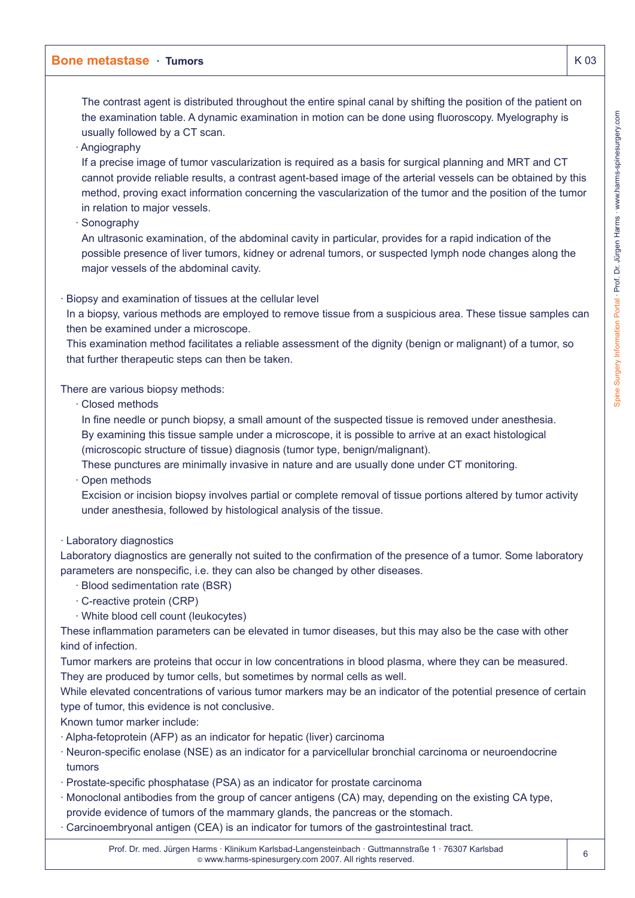The contrast agent is distributed throughout the entire spinal canal by shifting the position of the patient on the examination table. A dynamic examination in motion can be done using fluoroscopy. Myelography is usually followed by a CT scan.

· Angiography

If a precise image of tumor vascularization is required as a basis for surgical planning and MRT and CT cannot provide reliable results, a contrast agent-based image of the arterial vessels can be obtained by this method, proving exact information concerning the vascularization of the tumor and the position of the tumor in relation to major vessels.

· Sonography

An ultrasonic examination, of the abdominal cavity in particular, provides for a rapid indication of the possible presence of liver tumors, kidney or adrenal tumors, or suspected lymph node changes along the major vessels of the abdominal cavity.

· Biopsy and examination of tissues at the cellular level

In a biopsy, various methods are employed to remove tissue from a suspicious area. These tissue samples can then be examined under a microscope.

This examination method facilitates a reliable assessment of the dignity (benign or malignant) of a tumor, so that further therapeutic steps can then be taken.

There are various biopsy methods:

· Closed methods

In fine needle or punch biopsy, a small amount of the suspected tissue is removed under anesthesia.

By examining this tissue sample under a microscope, it is possible to arrive at an exact histological (microscopic structure of tissue) diagnosis (tumor type, benign/malignant).

These punctures are minimally invasive in nature and are usually done under CT monitoring.

· Open methods

Excision or incision biopsy involves partial or complete removal of tissue portions altered by tumor activity under anesthesia, followed by histological analysis of the tissue.

# · Laboratory diagnostics

Laboratory diagnostics are generally not suited to the confirmation of the presence of a tumor. Some laboratory parameters are nonspecific, i.e. they can also be changed by other diseases.

- · Blood sedimentation rate (BSR)
- · C-reactive protein (CRP)
- · White blood cell count (leukocytes)

These inflammation parameters can be elevated in tumor diseases, but this may also be the case with other kind of infection.

Tumor markers are proteins that occur in low concentrations in blood plasma, where they can be measured. They are produced by tumor cells, but sometimes by normal cells as well.

While elevated concentrations of various tumor markers may be an indicator of the potential presence of certain type of tumor, this evidence is not conclusive.

Known tumor marker include:

- · Alpha-fetoprotein (AFP) as an indicator for hepatic (liver) carcinoma
- · Neuron-specific enolase (NSE) as an indicator for a parvicellular bronchial carcinoma or neuroendocrine tumors
- · Prostate-specific phosphatase (PSA) as an indicator for prostate carcinoma
- · Monoclonal antibodies from the group of cancer antigens (CA) may, depending on the existing CA type, provide evidence of tumors of the mammary glands, the pancreas or the stomach.
- · Carcinoembryonal antigen (CEA) is an indicator for tumors of the gastrointestinal tract.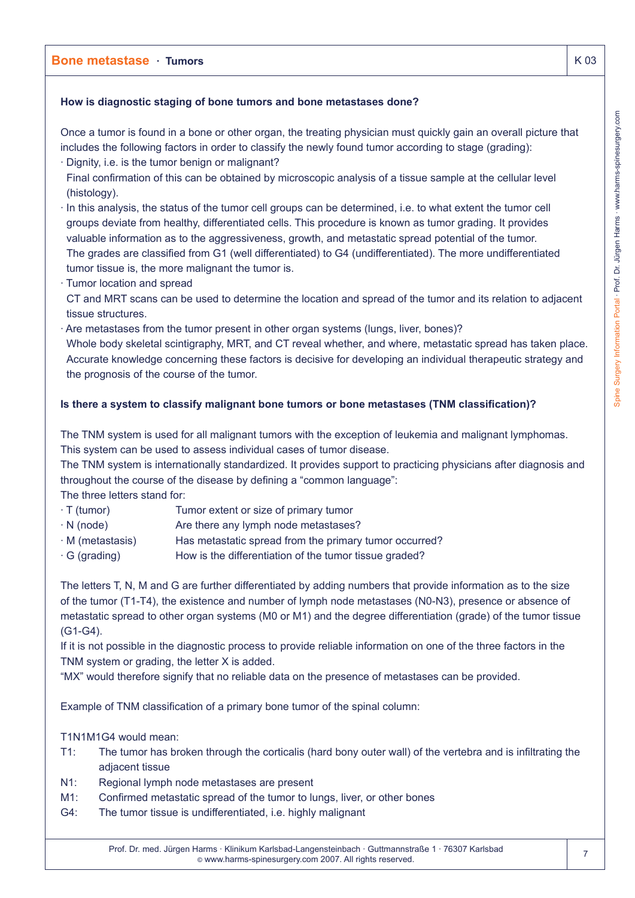# **How is diagnostic staging of bone tumors and bone metastases done?**

Once a tumor is found in a bone or other organ, the treating physician must quickly gain an overall picture that includes the following factors in order to classify the newly found tumor according to stage (grading):

- · Dignity, i.e. is the tumor benign or malignant?
- Final confirmation of this can be obtained by microscopic analysis of a tissue sample at the cellular level (histology).
- · In this analysis, the status of the tumor cell groups can be determined, i.e. to what extent the tumor cell groups deviate from healthy, differentiated cells. This procedure is known as tumor grading. It provides valuable information as to the aggressiveness, growth, and metastatic spread potential of the tumor. The grades are classified from G1 (well differentiated) to G4 (undifferentiated). The more undifferentiated tumor tissue is, the more malignant the tumor is.
- · Tumor location and spread
- CT and MRT scans can be used to determine the location and spread of the tumor and its relation to adjacent tissue structures.
- · Are metastases from the tumor present in other organ systems (lungs, liver, bones)? Whole body skeletal scintigraphy, MRT, and CT reveal whether, and where, metastatic spread has taken place. Accurate knowledge concerning these factors is decisive for developing an individual therapeutic strategy and the prognosis of the course of the tumor.

# **Is there a system to classify malignant bone tumors or bone metastases (TNM classification)?**

The TNM system is used for all malignant tumors with the exception of leukemia and malignant lymphomas. This system can be used to assess individual cases of tumor disease.

The TNM system is internationally standardized. It provides support to practicing physicians after diagnosis and throughout the course of the disease by defining a "common language":

The three letters stand for:

- · T (tumor) Tumor extent or size of primary tumor
- $\cdot$  N (node)  $\cdot$  Are there any lymph node metastases?
- · M (metastasis) Has metastatic spread from the primary tumor occurred?
- $\cdot$  G (grading) How is the differentiation of the tumor tissue graded?

The letters T, N, M and G are further differentiated by adding numbers that provide information as to the size of the tumor (T1-T4), the existence and number of lymph node metastases (N0-N3), presence or absence of metastatic spread to other organ systems (M0 or M1) and the degree differentiation (grade) of the tumor tissue (G1-G4).

If it is not possible in the diagnostic process to provide reliable information on one of the three factors in the TNM system or grading, the letter X is added.

"MX" would therefore signify that no reliable data on the presence of metastases can be provided.

Example of TNM classification of a primary bone tumor of the spinal column:

T1N1M1G4 would mean:

- T1: The tumor has broken through the corticalis (hard bony outer wall) of the vertebra and is infiltrating the adjacent tissue
- N1: Regional lymph node metastases are present
- M1: Confirmed metastatic spread of the tumor to lungs, liver, or other bones
- G4: The tumor tissue is undifferentiated, i.e. highly malignant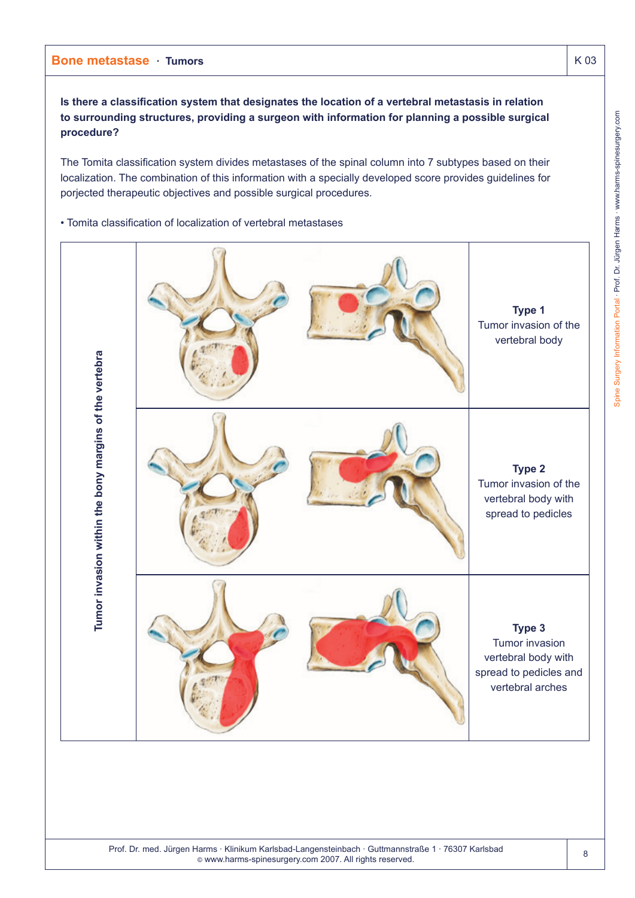**Is there a classification system that designates the location of a vertebral metastasis in relation to surrounding structures, providing a surgeon with information for planning a possible surgical procedure?**

The Tomita classification system divides metastases of the spinal column into 7 subtypes based on their localization. The combination of this information with a specially developed score provides guidelines for porjected therapeutic objectives and possible surgical procedures.

• Tomita classification of localization of vertebral metastases

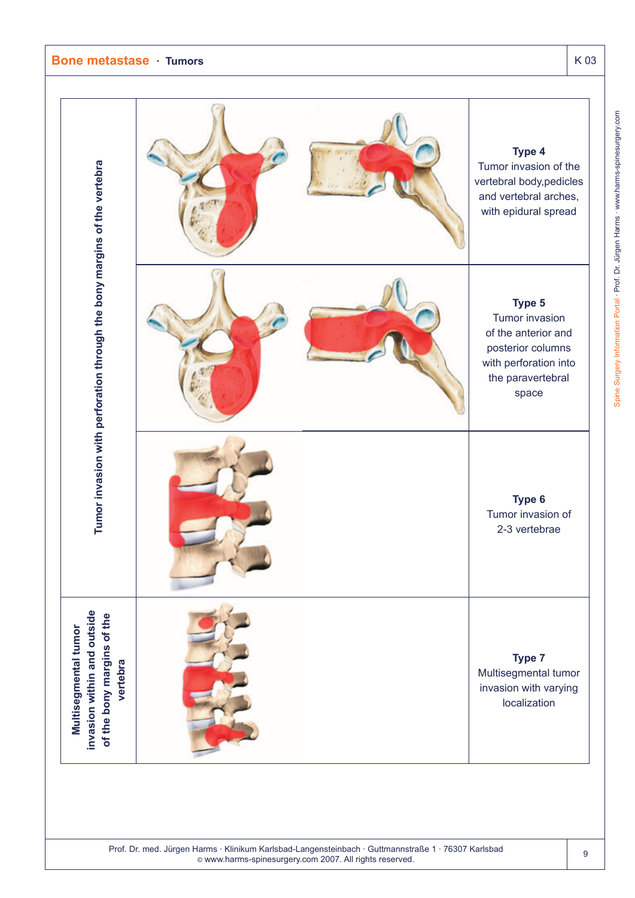**Tumor invasion with perforation through the bony margins of the vertebra**

Tumor invasion with perforation through the bony margins of the vertebra

**Multisegmental tumor invasion within and outside of the bony margins of the vertebra**

**Multisegmental tumor** 

invasion within and outside of the bony margins of the

vertebra

![](_page_8_Figure_2.jpeg)

Prof. Dr. med. Jürgen Harms · Klinikum Karlsbad-Langensteinbach · Guttmannstraße 1 · 76307 Karlsbad © www.harms-spinesurgery.com 2007. All rights reserved.

#### 9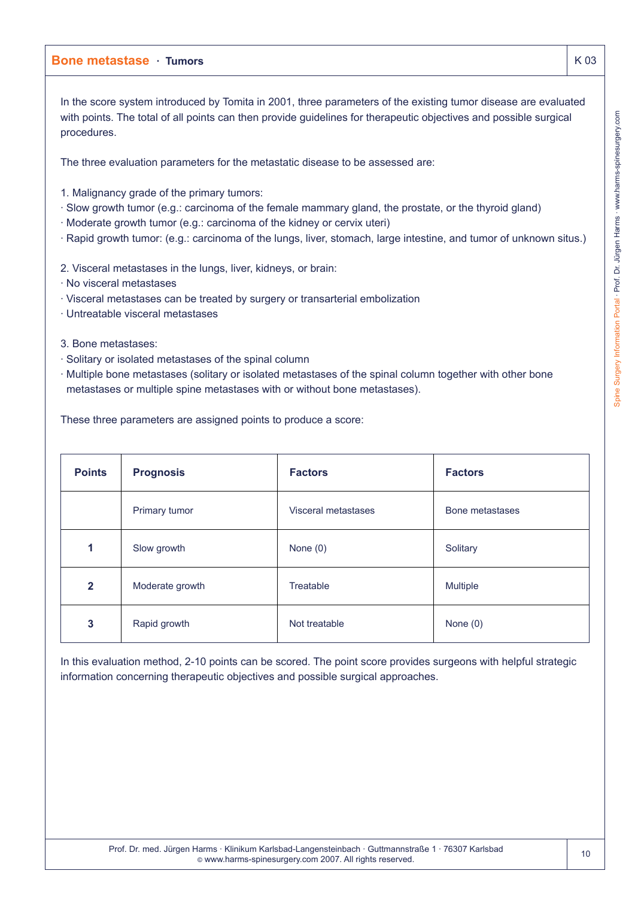In the score system introduced by Tomita in 2001, three parameters of the existing tumor disease are evaluated with points. The total of all points can then provide guidelines for therapeutic objectives and possible surgical procedures.

The three evaluation parameters for the metastatic disease to be assessed are:

1. Malignancy grade of the primary tumors:

- · Slow growth tumor (e.g.: carcinoma of the female mammary gland, the prostate, or the thyroid gland)
- · Moderate growth tumor (e.g.: carcinoma of the kidney or cervix uteri)
- · Rapid growth tumor: (e.g.: carcinoma of the lungs, liver, stomach, large intestine, and tumor of unknown situs.)

2. Visceral metastases in the lungs, liver, kidneys, or brain:

- · No visceral metastases
- · Visceral metastases can be treated by surgery or transarterial embolization
- · Untreatable visceral metastases
- 3. Bone metastases:
- · Solitary or isolated metastases of the spinal column
- · Multiple bone metastases (solitary or isolated metastases of the spinal column together with other bone metastases or multiple spine metastases with or without bone metastases).

These three parameters are assigned points to produce a score:

| <b>Points</b> | <b>Prognosis</b> | <b>Factors</b>      | <b>Factors</b>  |
|---------------|------------------|---------------------|-----------------|
|               | Primary tumor    | Visceral metastases | Bone metastases |
| 1             | Slow growth      | None $(0)$          | Solitary        |
| $\mathbf{2}$  | Moderate growth  | Treatable           | <b>Multiple</b> |
| 3             | Rapid growth     | Not treatable       | None $(0)$      |

In this evaluation method, 2-10 points can be scored. The point score provides surgeons with helpful strategic information concerning therapeutic objectives and possible surgical approaches.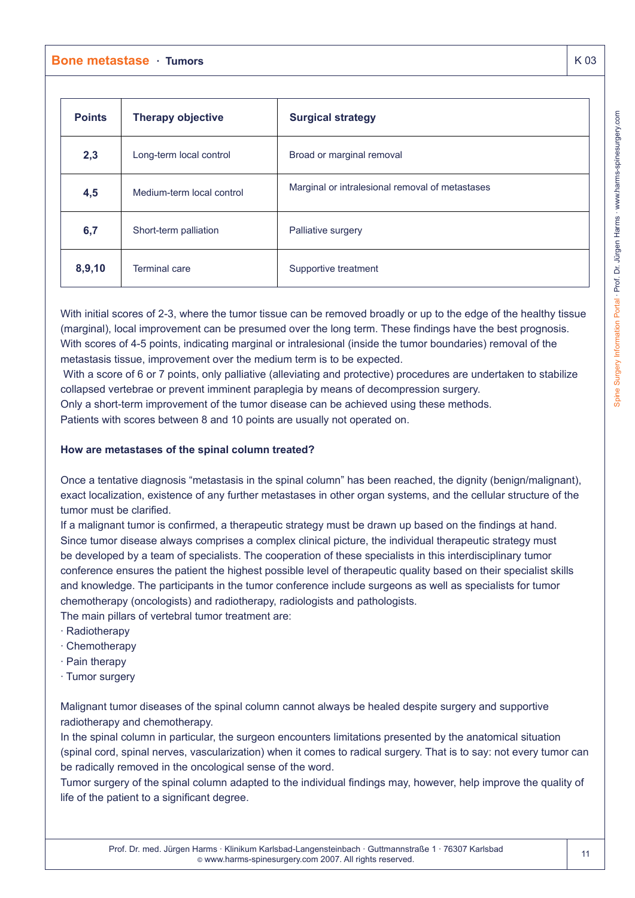| <b>Points</b> | <b>Therapy objective</b>  | <b>Surgical strategy</b>                        |  |
|---------------|---------------------------|-------------------------------------------------|--|
| 2,3           | Long-term local control   | Broad or marginal removal                       |  |
| 4,5           | Medium-term local control | Marginal or intralesional removal of metastases |  |
| 6,7           | Short-term palliation     | Palliative surgery                              |  |
| 8,9,10        | <b>Terminal care</b>      | Supportive treatment                            |  |

With initial scores of 2-3, where the tumor tissue can be removed broadly or up to the edge of the healthy tissue (marginal), local improvement can be presumed over the long term. These findings have the best prognosis. With scores of 4-5 points, indicating marginal or intralesional (inside the tumor boundaries) removal of the metastasis tissue, improvement over the medium term is to be expected.

With a score of 6 or 7 points, only palliative (alleviating and protective) procedures are undertaken to stabilize collapsed vertebrae or prevent imminent paraplegia by means of decompression surgery.

Only a short-term improvement of the tumor disease can be achieved using these methods.

Patients with scores between 8 and 10 points are usually not operated on.

# **How are metastases of the spinal column treated?**

Once a tentative diagnosis "metastasis in the spinal column" has been reached, the dignity (benign/malignant), exact localization, existence of any further metastases in other organ systems, and the cellular structure of the tumor must be clarified.

If a malignant tumor is confirmed, a therapeutic strategy must be drawn up based on the findings at hand. Since tumor disease always comprises a complex clinical picture, the individual therapeutic strategy must be developed by a team of specialists. The cooperation of these specialists in this interdisciplinary tumor conference ensures the patient the highest possible level of therapeutic quality based on their specialist skills and knowledge. The participants in the tumor conference include surgeons as well as specialists for tumor chemotherapy (oncologists) and radiotherapy, radiologists and pathologists.

The main pillars of vertebral tumor treatment are:

- · Radiotherapy
- · Chemotherapy
- · Pain therapy
- · Tumor surgery

Malignant tumor diseases of the spinal column cannot always be healed despite surgery and supportive radiotherapy and chemotherapy.

In the spinal column in particular, the surgeon encounters limitations presented by the anatomical situation (spinal cord, spinal nerves, vascularization) when it comes to radical surgery. That is to say: not every tumor can be radically removed in the oncological sense of the word.

Tumor surgery of the spinal column adapted to the individual findings may, however, help improve the quality of life of the patient to a significant degree.